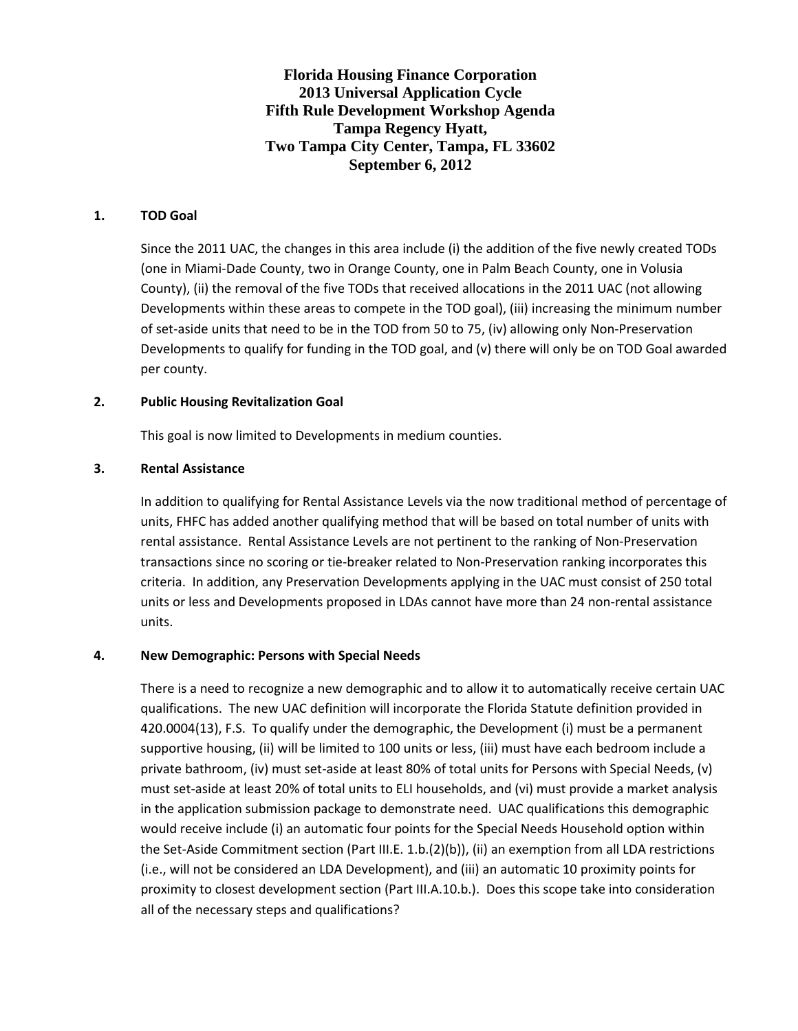**Florida Housing Finance Corporation 2013 Universal Application Cycle Fifth Rule Development Workshop Agenda Tampa Regency Hyatt, Two Tampa City Center, Tampa, FL 33602 September 6, 2012**

## **1. TOD Goal**

Since the 2011 UAC, the changes in this area include (i) the addition of the five newly created TODs (one in Miami-Dade County, two in Orange County, one in Palm Beach County, one in Volusia County), (ii) the removal of the five TODs that received allocations in the 2011 UAC (not allowing Developments within these areas to compete in the TOD goal), (iii) increasing the minimum number of set-aside units that need to be in the TOD from 50 to 75, (iv) allowing only Non-Preservation Developments to qualify for funding in the TOD goal, and (v) there will only be on TOD Goal awarded per county.

### **2. Public Housing Revitalization Goal**

This goal is now limited to Developments in medium counties.

### **3. Rental Assistance**

In addition to qualifying for Rental Assistance Levels via the now traditional method of percentage of units, FHFC has added another qualifying method that will be based on total number of units with rental assistance. Rental Assistance Levels are not pertinent to the ranking of Non-Preservation transactions since no scoring or tie-breaker related to Non-Preservation ranking incorporates this criteria. In addition, any Preservation Developments applying in the UAC must consist of 250 total units or less and Developments proposed in LDAs cannot have more than 24 non-rental assistance units.

# **4. New Demographic: Persons with Special Needs**

There is a need to recognize a new demographic and to allow it to automatically receive certain UAC qualifications. The new UAC definition will incorporate the Florida Statute definition provided in 420.0004(13), F.S. To qualify under the demographic, the Development (i) must be a permanent supportive housing, (ii) will be limited to 100 units or less, (iii) must have each bedroom include a private bathroom, (iv) must set-aside at least 80% of total units for Persons with Special Needs, (v) must set-aside at least 20% of total units to ELI households, and (vi) must provide a market analysis in the application submission package to demonstrate need. UAC qualifications this demographic would receive include (i) an automatic four points for the Special Needs Household option within the Set-Aside Commitment section (Part III.E. 1.b.(2)(b)), (ii) an exemption from all LDA restrictions (i.e., will not be considered an LDA Development), and (iii) an automatic 10 proximity points for proximity to closest development section (Part III.A.10.b.). Does this scope take into consideration all of the necessary steps and qualifications?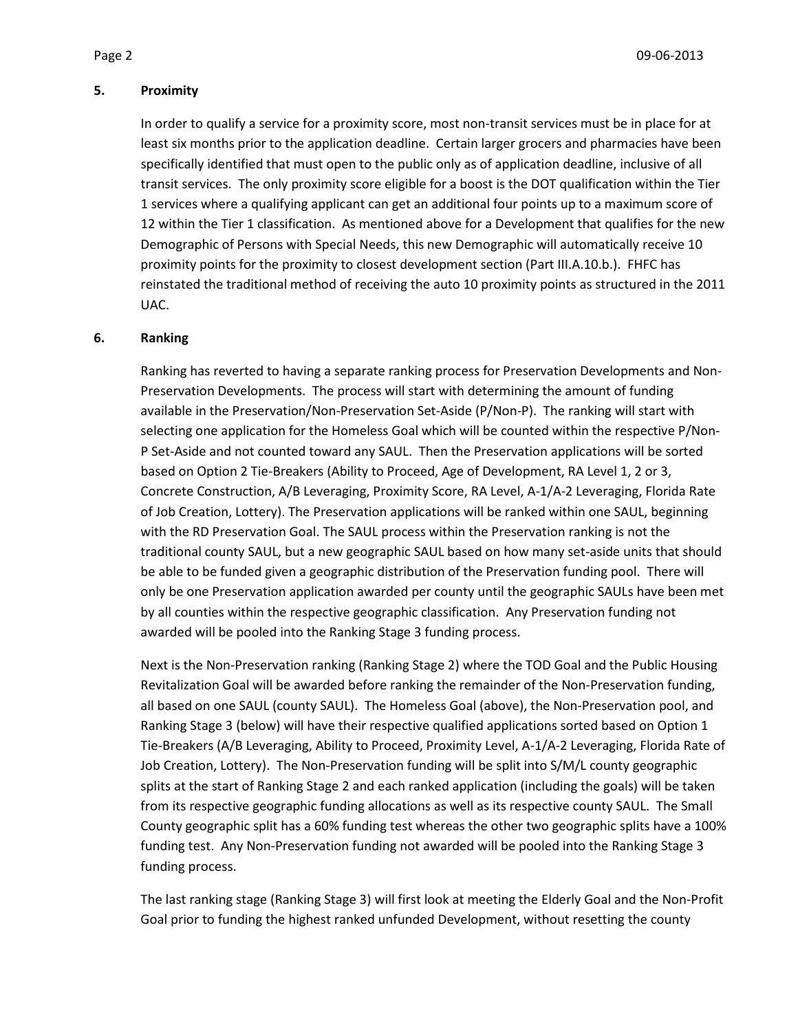#### **5. Proximity**

In order to qualify a service for a proximity score, most non-transit services must be in place for at least six months prior to the application deadline. Certain larger grocers and pharmacies have been specifically identified that must open to the public only as of application deadline, inclusive of all transit services. The only proximity score eligible for a boost is the DOT qualification within the Tier 1 services where a qualifying applicant can get an additional four points up to a maximum score of 12 within the Tier 1 classification. As mentioned above for a Development that qualifies for the new Demographic of Persons with Special Needs, this new Demographic will automatically receive 10 proximity points for the proximity to closest development section (Part III.A.10.b.). FHFC has reinstated the traditional method of receiving the auto 10 proximity points as structured in the 2011 UAC.

#### **6. Ranking**

Ranking has reverted to having a separate ranking process for Preservation Developments and Non-Preservation Developments. The process will start with determining the amount of funding available in the Preservation/Non-Preservation Set-Aside (P/Non-P). The ranking will start with selecting one application for the Homeless Goal which will be counted within the respective P/Non-P Set-Aside and not counted toward any SAUL. Then the Preservation applications will be sorted based on Option 2 Tie-Breakers (Ability to Proceed, Age of Development, RA Level 1, 2 or 3, Concrete Construction, A/B Leveraging, Proximity Score, RA Level, A-1/A-2 Leveraging, Florida Rate of Job Creation, Lottery). The Preservation applications will be ranked within one SAUL, beginning with the RD Preservation Goal. The SAUL process within the Preservation ranking is not the traditional county SAUL, but a new geographic SAUL based on how many set-aside units that should be able to be funded given a geographic distribution of the Preservation funding pool. There will only be one Preservation application awarded per county until the geographic SAULs have been met by all counties within the respective geographic classification. Any Preservation funding not awarded will be pooled into the Ranking Stage 3 funding process.

Next is the Non-Preservation ranking (Ranking Stage 2) where the TOD Goal and the Public Housing Revitalization Goal will be awarded before ranking the remainder of the Non-Preservation funding, all based on one SAUL (county SAUL). The Homeless Goal (above), the Non-Preservation pool, and Ranking Stage 3 (below) will have their respective qualified applications sorted based on Option 1 Tie-Breakers (A/B Leveraging, Ability to Proceed, Proximity Level, A-1/A-2 Leveraging, Florida Rate of Job Creation, Lottery). The Non-Preservation funding will be split into S/M/L county geographic splits at the start of Ranking Stage 2 and each ranked application (including the goals) will be taken from its respective geographic funding allocations as well as its respective county SAUL. The Small County geographic split has a 60% funding test whereas the other two geographic splits have a 100% funding test. Any Non-Preservation funding not awarded will be pooled into the Ranking Stage 3 funding process.

The last ranking stage (Ranking Stage 3) will first look at meeting the Elderly Goal and the Non-Profit Goal prior to funding the highest ranked unfunded Development, without resetting the county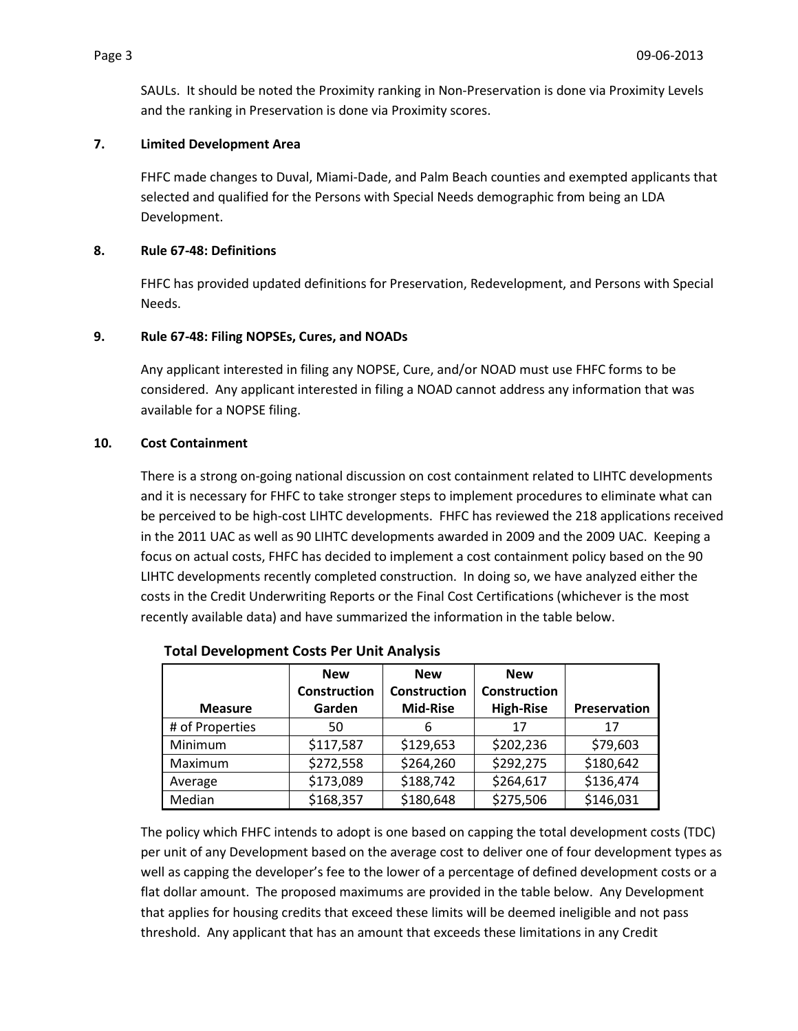SAULs. It should be noted the Proximity ranking in Non-Preservation is done via Proximity Levels and the ranking in Preservation is done via Proximity scores.

# **7. Limited Development Area**

FHFC made changes to Duval, Miami-Dade, and Palm Beach counties and exempted applicants that selected and qualified for the Persons with Special Needs demographic from being an LDA Development.

### **8. Rule 67-48: Definitions**

FHFC has provided updated definitions for Preservation, Redevelopment, and Persons with Special Needs.

### **9. Rule 67-48: Filing NOPSEs, Cures, and NOADs**

Any applicant interested in filing any NOPSE, Cure, and/or NOAD must use FHFC forms to be considered. Any applicant interested in filing a NOAD cannot address any information that was available for a NOPSE filing.

### **10. Cost Containment**

There is a strong on-going national discussion on cost containment related to LIHTC developments and it is necessary for FHFC to take stronger steps to implement procedures to eliminate what can be perceived to be high-cost LIHTC developments. FHFC has reviewed the 218 applications received in the 2011 UAC as well as 90 LIHTC developments awarded in 2009 and the 2009 UAC. Keeping a focus on actual costs, FHFC has decided to implement a cost containment policy based on the 90 LIHTC developments recently completed construction. In doing so, we have analyzed either the costs in the Credit Underwriting Reports or the Final Cost Certifications (whichever is the most recently available data) and have summarized the information in the table below.

| <b>Measure</b>  | <b>New</b><br><b>Construction</b><br>Garden | <b>New</b><br><b>Construction</b><br><b>Mid-Rise</b> | <b>New</b><br><b>Construction</b><br><b>High-Rise</b> | Preservation |
|-----------------|---------------------------------------------|------------------------------------------------------|-------------------------------------------------------|--------------|
| # of Properties | 50                                          | 6                                                    | 17                                                    | 17           |
| Minimum         | \$117,587                                   | \$129,653                                            | \$202,236                                             | \$79,603     |
| Maximum         | \$272,558                                   | \$264,260                                            | \$292,275                                             | \$180,642    |
| Average         | \$173,089                                   | \$188,742                                            | \$264,617                                             | \$136,474    |
| Median          | \$168,357                                   | \$180,648                                            | \$275,506                                             | \$146,031    |

### **Total Development Costs Per Unit Analysis**

The policy which FHFC intends to adopt is one based on capping the total development costs (TDC) per unit of any Development based on the average cost to deliver one of four development types as well as capping the developer's fee to the lower of a percentage of defined development costs or a flat dollar amount. The proposed maximums are provided in the table below. Any Development that applies for housing credits that exceed these limits will be deemed ineligible and not pass threshold. Any applicant that has an amount that exceeds these limitations in any Credit